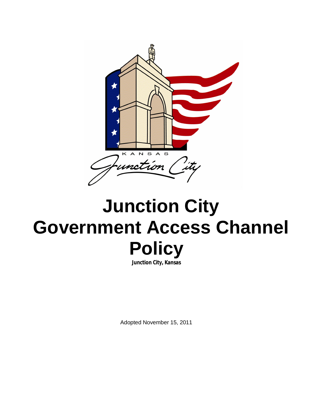

# **Junction City Government Access Channel Policy**

**Junction City, Kansas**

Adopted November 15, 2011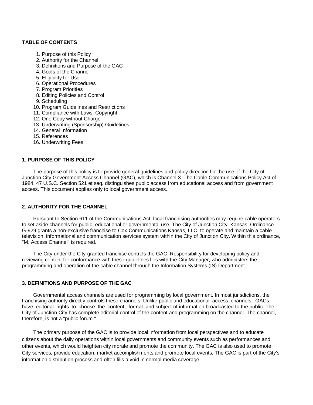## **TABLE OF CONTENTS**

- 1. Purpose of this Policy
- 2. Authority for the Channel
- 3. Definitions and Purpose of the GAC
- 4. Goals of the Channel
- 5. Eligibility for Use
- 6. Operational Procedures
- 7. Program Priorities
- 8. Editing Policies and Control
- 9. Scheduling
- 10. Program Guidelines and Restrictions
- 11. Compliance with Laws; Copyright
- 12. One Copy without Charge
- 13. Underwriting (Sponsorship) Guidelines
- 14. General Information
- 15. References
- 16. Underwriting Fees

## **1. PURPOSE OF THIS POLICY**

The purpose of this policy is to provide general guidelines and policy direction for the use of the City of Junction City Government Access Channel (GAC), which is Channel 3. The Cable Communications Policy Act of 1984, 47 U.S.C. Section 521 et seq. distinguishes public access from educational access and from government access. This document applies only to local government access.

# **2. AUTHORITY FOR THE CHANNEL**

Pursuant to Section 611 of the Communications Act, local franchising authorities may require cable operators to set aside channels for public, educational or governmental use. The City of Junction City, Kansas, Ordinance G-929 grants a non-exclusive franchise to Cox Communications Kansas, LLC. to operate and maintain a cable television, informational and communication services system within the City of Junction City. Within this ordinance, "M. Access Channel" is required.

The City under the City-granted franchise controls the GAC. Responsibility for developing policy and reviewing content for conformance with these guidelines lies with the City Manager, who administers the programming and operation of the cable channel through the Information Systems (IS) Department.

# **3. DEFINITIONS AND PURPOSE OF THE GAC**

Governmental access channels are used for programming by local government. In most jurisdictions, the franchising authority directly controls these channels. Unlike public and educational access channels, GACs have editorial rights to choose the content, format and subject of information broadcasted to the public. The City of Junction City has complete editorial control of the content and programming on the channel. The channel, therefore, is not a "public forum."

The primary purpose of the GAC is to provide local information from local perspectives and to educate citizens about the daily operations within local governments and community events such as performances and other events, which would heighten city morale and promote the community. The GAC is also used to promote City services, provide education, market accomplishments and promote local events. The GAC is part of the City's information distribution process and often fills a void in normal media coverage.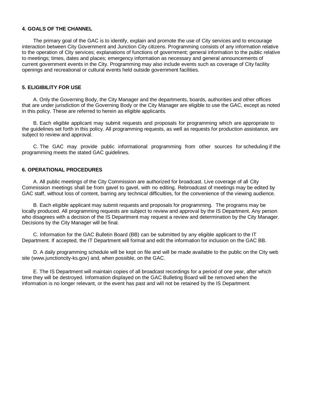## **4. GOALS OF THE CHANNEL**

The primary goal of the GAC is to identify, explain and promote the use of City services and to encourage interaction between City Government and Junction City citizens. Programming consists of any information relative to the operation of City services; explanations of functions of government; general information to the public relative to meetings; times, dates and places; emergency information as necessary and general announcements of current government events in the City. Programming may also include events such as coverage of City facility openings and recreational or cultural events held outside government facilities.

## **5. ELIGIBILITY FOR USE**

A. Only the Governing Body, the City Manager and the departments, boards, authorities and other offices that are under jurisdiction of the Governing Body or the City Manager are eligible to use the GAC, except as noted in this policy. These are referred to herein as eligible applicants.

B. Each eligible applicant may submit requests and proposals for programming which are appropriate to the guidelines set forth in this policy. All programming requests, as well as requests for production assistance, are subject to review and approval.

C. The GAC may provide public informational programming from other sources for scheduling if the programming meets the stated GAC guidelines.

#### **6. OPERATIONAL PROCEDURES**

A. All public meetings of the City Commission are authorized for broadcast. Live coverage of all City Commission meetings shall be from gavel to gavel, with no editing. Rebroadcast of meetings may be edited by GAC staff, without loss of content, barring any technical difficulties, for the convenience of the viewing audience.

B. Each eligible applicant may submit requests and proposals for programming. The programs may be locally produced. All programming requests are subject to review and approval by the IS Department. Any person who disagrees with a decision of the IS Department may request a review and determination by the City Manager. Decisions by the City Manager will be final.

C. Information for the GAC Bulletin Board (BB) can be submitted by any eligible applicant to the IT Department. If accepted, the IT Department will format and edit the information for inclusion on the GAC BB.

D. A daily programming schedule will be kept on file and will be made available to the public on the City web site (www.junctioncity-ks.gov) and, when possible, on the GAC.

E. The IS Department will maintain copies of all broadcast recordings for a period of one year, after which time they will be destroyed. Information displayed on the GAC Bulleting Board will be removed when the information is no longer relevant, or the event has past and will not be retained by the IS Department.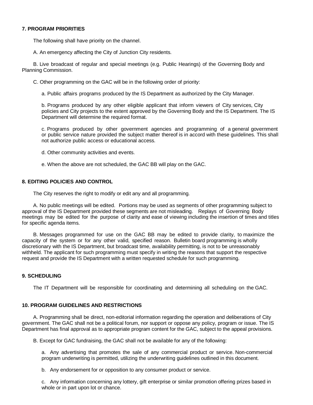## **7. PROGRAM PRIORITIES**

The following shall have priority on the channel.

A. An emergency affecting the City of Junction City residents.

B. Live broadcast of regular and special meetings (e.g. Public Hearings) of the Governing Body and Planning Commission.

C. Other programming on the GAC will be in the following order of priority:

a. Public affairs programs produced by the IS Department as authorized by the City Manager.

b. Programs produced by any other eligible applicant that inform viewers of City services, City policies and City projects to the extent approved by the Governing Body and the IS Department. The IS Department will determine the required format.

c. Programs produced by other government agencies and programming of a general government or public service nature provided the subject matter thereof is in accord with these guidelines. This shall not authorize public access or educational access.

d. Other community activities and events.

e. When the above are not scheduled, the GAC BB will play on the GAC.

## **8. EDITING POLICIES AND CONTROL**

The City reserves the right to modify or edit any and all programming.

A. No public meetings will be edited. Portions may be used as segments of other programming subject to approval of the IS Department provided these segments are not misleading. Replays of Governing Body meetings may be edited for the purpose of clarity and ease of viewing including the insertion of times and titles for specific agenda items.

B. Messages programmed for use on the GAC BB may be edited to provide clarity, to maximize the capacity of the system or for any other valid, specified reason. Bulletin board programming is wholly discretionary with the IS Department, but broadcast time, availability permitting, is not to be unreasonably withheld. The applicant for such programming must specify in writing the reasons that support the respective request and provide the IS Department with a written requested schedule for such programming.

# **9. SCHEDULING**

The IT Department will be responsible for coordinating and determining all scheduling on the GAC.

## **10. PROGRAM GUIDELINES AND RESTRICTIONS**

A. Programming shall be direct, non-editorial information regarding the operation and deliberations of City government. The GAC shall not be a political forum, nor support or oppose any policy, program or issue. The IS Department has final approval as to appropriate program content for the GAC, subject to the appeal provisions.

B. Except for GAC fundraising, the GAC shall not be available for any of the following:

a. Any advertising that promotes the sale of any commercial product or service. Non-commercial program underwriting is permitted, utilizing the underwriting guidelines outlined in this document.

b. Any endorsement for or opposition to any consumer product or service.

c. Any information concerning any lottery, gift enterprise or similar promotion offering prizes based in whole or in part upon lot or chance.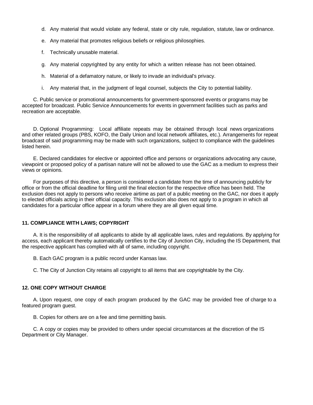- d. Any material that would violate any federal, state or city rule, regulation, statute, law or ordinance.
- e. Any material that promotes religious beliefs or religious philosophies.
- f. Technically unusable material.
- g. Any material copyrighted by any entity for which a written release has not been obtained.
- h. Material of a defamatory nature, or likely to invade an individual's privacy.
- i. Any material that, in the judgment of legal counsel, subjects the City to potential liability.

C. Public service or promotional announcements for government-sponsored events or programs may be accepted for broadcast. Public Service Announcements for events in government facilities such as parks and recreation are acceptable.

D. Optional Programming: Local affiliate repeats may be obtained through local news organizations and other related groups (PBS, KOFO, the Daily Union and local network affiliates, etc.). Arrangements for repeat broadcast of said programming may be made with such organizations, subject to compliance with the guidelines listed herein.

E. Declared candidates for elective or appointed office and persons or organizations advocating any cause, viewpoint or proposed policy of a partisan nature will not be allowed to use the GAC as a medium to express their views or opinions.

For purposes of this directive, a person is considered a candidate from the time of announcing publicly for office or from the official deadline for filing until the final election for the respective office has been held. The exclusion does not apply to persons who receive airtime as part of a public meeting on the GAC, nor does it apply to elected officials acting in their official capacity. This exclusion also does not apply to a program in which all candidates for a particular office appear in a forum where they are all given equal time.

#### **11. COMPLIANCE WITH LAWS; COPYRIGHT**

A. It is the responsibility of all applicants to abide by all applicable laws, rules and regulations. By applying for access, each applicant thereby automatically certifies to the City of Junction City, including the IS Department, that the respective applicant has complied with all of same, including copyright.

B. Each GAC program is a public record under Kansas law.

C. The City of Junction City retains all copyright to all items that are copyrightable by the City.

## **12. ONE COPY WITHOUT CHARGE**

A. Upon request, one copy of each program produced by the GAC may be provided free of charge to a featured program guest.

B. Copies for others are on a fee and time permitting basis.

C. A copy or copies may be provided to others under special circumstances at the discretion of the IS Department or City Manager.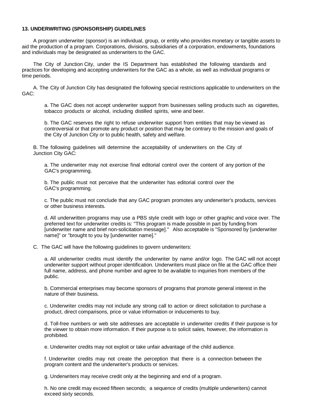## **13. UNDERWRITING (SPONSORSHIP) GUIDELINES**

A program underwriter (sponsor) is an individual, group, or entity who provides monetary or tangible assets to aid the production of a program. Corporations, divisions, subsidiaries of a corporation, endowments, foundations and individuals may be designated as underwriters to the GAC.

The City of Junction City, under the IS Department has established the following standards and practices for developing and accepting underwriters for the GAC as a whole, as well as individual programs or time periods.

A. The City of Junction City has designated the following special restrictions applicable to underwriters on the GAC:

a. The GAC does not accept underwriter support from businesses selling products such as cigarettes, tobacco products or alcohol, including distilled spirits, wine and beer.

b. The GAC reserves the right to refuse underwriter support from entities that may be viewed as controversial or that promote any product or position that may be contrary to the mission and goals of the City of Junction City or to public health, safety and welfare.

B. The following guidelines will determine the acceptability of underwriters on the City of Junction City GAC:

a. The underwriter may not exercise final editorial control over the content of any portion of the GAC's programming.

b. The public must not perceive that the underwriter has editorial control over the GAC's programming.

c. The public must not conclude that any GAC program promotes any underwriter's products, services or other business interests.

d. All underwritten programs may use a PBS style credit with logo or other graphic and voice over. The preferred text for underwriter credits is: "This program is made possible in part by funding from [underwriter name and brief non-solicitation message]." Also acceptable is "Sponsored by [underwriter name]" or "brought to you by [underwriter name]."

C. The GAC will have the following guidelines to govern underwriters:

a. All underwriter credits must identify the underwriter by name and/or logo. The GAC will not accept underwriter support without proper identification. Underwriters must place on file at the GAC office their full name, address, and phone number and agree to be available to inquiries from members of the public.

b. Commercial enterprises may become sponsors of programs that promote general interest in the nature of their business.

c. Underwriter credits may not include any strong call to action or direct solicitation to purchase a product, direct comparisons, price or value information or inducements to buy.

d. Toll-free numbers or web site addresses are acceptable in underwriter credits if their purpose is for the viewer to obtain more information. If their purpose is to solicit sales, however, the information is prohibited.

e. Underwriter credits may not exploit or take unfair advantage of the child audience.

f. Underwriter credits may not create the perception that there is a connection between the program content and the underwriter's products or services.

g. Underwriters may receive credit only at the beginning and end of a program.

h. No one credit may exceed fifteen seconds; a sequence of credits (multiple underwriters) cannot exceed sixty seconds.